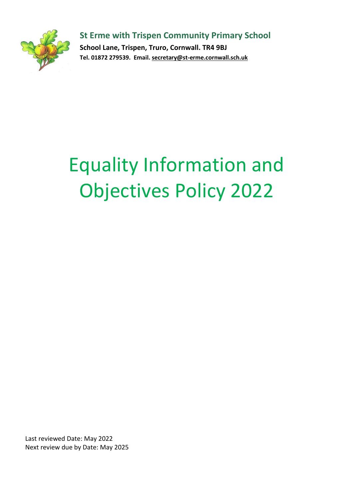**St Erme with Trispen Community Primary School**

**School Lane, Trispen, Truro, Cornwall. TR4 9BJ Tel. 01872 279539. Email. [secretary@st-erme.cornwall.sch.uk](mailto:secretary@st-erme.cornwall.sch.uk)**

# Equality Information and Objectives Policy 2022

Last reviewed Date: May 2022 Next review due by Date: May 2025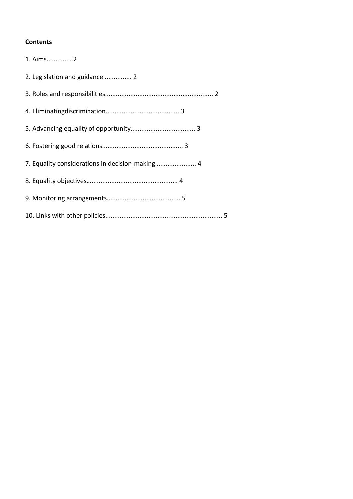# **Contents**

| 1. Aims 2                                        |
|--------------------------------------------------|
| 2. Legislation and guidance  2                   |
|                                                  |
|                                                  |
|                                                  |
|                                                  |
| 7. Equality considerations in decision-making  4 |
|                                                  |
|                                                  |
|                                                  |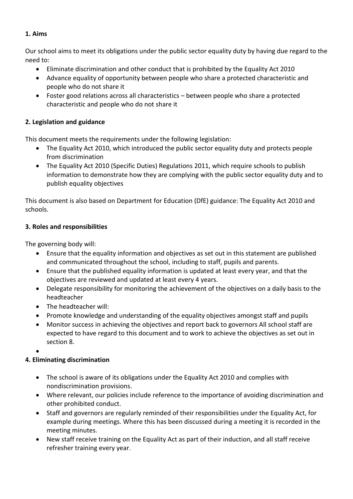# **1. Aims**

Our school aims to meet its obligations under the public sector equality duty by having due regard to the need to:

- Eliminate discrimination and other conduct that is prohibited by the Equality Act 2010
- Advance equality of opportunity between people who share a protected characteristic and people who do not share it
- Foster good relations across all characteristics between people who share a protected characteristic and people who do not share it

# **2. Legislation and guidance**

This document meets the requirements under the following legislation:

- The Equality Act 2010, which introduced the public sector equality duty and protects people from discrimination
- The Equality Act 2010 (Specific Duties) Regulations 2011, which require schools to publish information to demonstrate how they are complying with the public sector equality duty and to publish equality objectives

This document is also based on Department for Education (DfE) guidance: The Equality Act 2010 and schools.

# **3. Roles and responsibilities**

The governing body will:

- Ensure that the equality information and objectives as set out in this statement are published and communicated throughout the school, including to staff, pupils and parents.
- Ensure that the published equality information is updated at least every year, and that the objectives are reviewed and updated at least every 4 years.
- Delegate responsibility for monitoring the achievement of the objectives on a daily basis to the headteacher
- The headteacher will:
- Promote knowledge and understanding of the equality objectives amongst staff and pupils
- Monitor success in achieving the objectives and report back to governors All school staff are expected to have regard to this document and to work to achieve the objectives as set out in section 8.

 $\bullet$ 

# **4. Eliminating discrimination**

- The school is aware of its obligations under the Equality Act 2010 and complies with nondiscrimination provisions.
- Where relevant, our policies include reference to the importance of avoiding discrimination and other prohibited conduct.
- Staff and governors are regularly reminded of their responsibilities under the Equality Act, for example during meetings. Where this has been discussed during a meeting it is recorded in the meeting minutes.
- New staff receive training on the Equality Act as part of their induction, and all staff receive refresher training every year.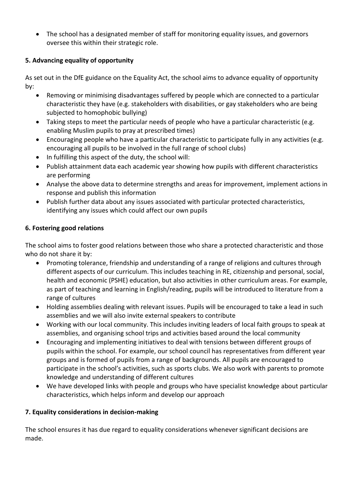The school has a designated member of staff for monitoring equality issues, and governors oversee this within their strategic role.

# **5. Advancing equality of opportunity**

As set out in the DfE guidance on the Equality Act, the school aims to advance equality of opportunity by:

- Removing or minimising disadvantages suffered by people which are connected to a particular characteristic they have (e.g. stakeholders with disabilities, or gay stakeholders who are being subjected to homophobic bullying)
- Taking steps to meet the particular needs of people who have a particular characteristic (e.g. enabling Muslim pupils to pray at prescribed times)
- Encouraging people who have a particular characteristic to participate fully in any activities (e.g. encouraging all pupils to be involved in the full range of school clubs)
- In fulfilling this aspect of the duty, the school will:
- Publish attainment data each academic year showing how pupils with different characteristics are performing
- Analyse the above data to determine strengths and areas for improvement, implement actions in response and publish this information
- Publish further data about any issues associated with particular protected characteristics, identifying any issues which could affect our own pupils

# **6. Fostering good relations**

The school aims to foster good relations between those who share a protected characteristic and those who do not share it by:

- Promoting tolerance, friendship and understanding of a range of religions and cultures through different aspects of our curriculum. This includes teaching in RE, citizenship and personal, social, health and economic (PSHE) education, but also activities in other curriculum areas. For example, as part of teaching and learning in English/reading, pupils will be introduced to literature from a range of cultures
- Holding assemblies dealing with relevant issues. Pupils will be encouraged to take a lead in such assemblies and we will also invite external speakers to contribute
- Working with our local community. This includes inviting leaders of local faith groups to speak at assemblies, and organising school trips and activities based around the local community
- Encouraging and implementing initiatives to deal with tensions between different groups of pupils within the school. For example, our school council has representatives from different year groups and is formed of pupils from a range of backgrounds. All pupils are encouraged to participate in the school's activities, such as sports clubs. We also work with parents to promote knowledge and understanding of different cultures
- We have developed links with people and groups who have specialist knowledge about particular characteristics, which helps inform and develop our approach

# **7. Equality considerations in decision-making**

The school ensures it has due regard to equality considerations whenever significant decisions are made.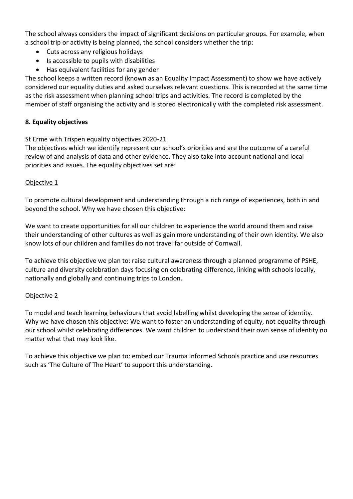The school always considers the impact of significant decisions on particular groups. For example, when a school trip or activity is being planned, the school considers whether the trip:

- Cuts across any religious holidays
- Is accessible to pupils with disabilities
- Has equivalent facilities for any gender

The school keeps a written record (known as an Equality Impact Assessment) to show we have actively considered our equality duties and asked ourselves relevant questions. This is recorded at the same time as the risk assessment when planning school trips and activities. The record is completed by the member of staff organising the activity and is stored electronically with the completed risk assessment.

# **8. Equality objectives**

St Erme with Trispen equality objectives 2020-21

The objectives which we identify represent our school's priorities and are the outcome of a careful review of and analysis of data and other evidence. They also take into account national and local priorities and issues. The equality objectives set are:

## Objective 1

To promote cultural development and understanding through a rich range of experiences, both in and beyond the school. Why we have chosen this objective:

We want to create opportunities for all our children to experience the world around them and raise their understanding of other cultures as well as gain more understanding of their own identity. We also know lots of our children and families do not travel far outside of Cornwall.

To achieve this objective we plan to: raise cultural awareness through a planned programme of PSHE, culture and diversity celebration days focusing on celebrating difference, linking with schools locally, nationally and globally and continuing trips to London.

## Objective 2

To model and teach learning behaviours that avoid labelling whilst developing the sense of identity. Why we have chosen this objective: We want to foster an understanding of equity, not equality through our school whilst celebrating differences. We want children to understand their own sense of identity no matter what that may look like.

To achieve this objective we plan to: embed our Trauma Informed Schools practice and use resources such as 'The Culture of The Heart' to support this understanding.